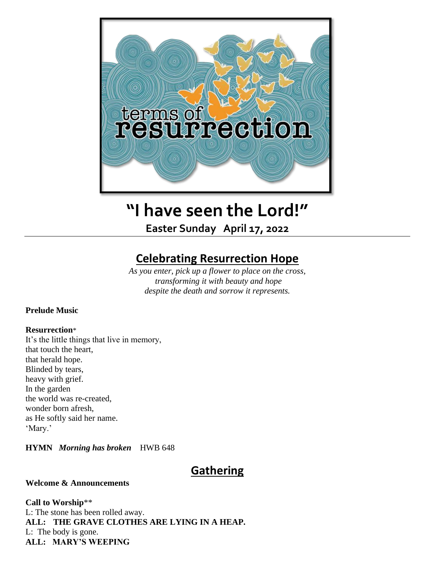

# **"I have seen the Lord!"**

**Easter Sunday April 17, 2022**

## **Celebrating Resurrection Hope**

*As you enter, pick up a flower to place on the cross, transforming it with beauty and hope despite the death and sorrow it represents.*

#### **Prelude Music**

#### **Resurrection**\*

It's the little things that live in memory, that touch the heart, that herald hope. Blinded by tears, heavy with grief. In the garden the world was re-created, wonder born afresh, as He softly said her name. 'Mary.'

**HYMN** *Morning has broken*HWB 648

## **Gathering**

#### **Welcome & Announcements**

**Call to Worship**\*\* L: The stone has been rolled away.

**ALL: THE GRAVE CLOTHES ARE LYING IN A HEAP.** L: The body is gone. **ALL: MARY'S WEEPING**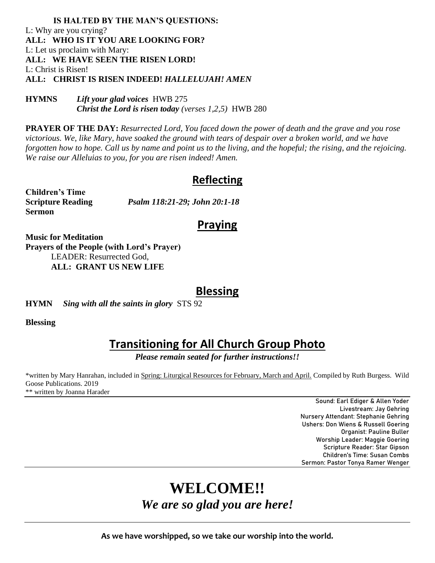#### **IS HALTED BY THE MAN'S QUESTIONS:**  L: Why are you crying? **ALL: WHO IS IT YOU ARE LOOKING FOR?**  L: Let us proclaim with Mary: **ALL: WE HAVE SEEN THE RISEN LORD!** L: Christ is Risen! **ALL: CHRIST IS RISEN INDEED!** *HALLELUJAH! AMEN*

**HYMNS** *Lift your glad voices*HWB 275 *Christ the Lord is risen today (verses 1,2,5)* HWB 280

**PRAYER OF THE DAY:** *Resurrected Lord, You faced down the power of death and the grave and you rose victorious. We, like Mary, have soaked the ground with tears of despair over a broken world, and we have forgotten how to hope. Call us by name and point us to the living, and the hopeful; the rising, and the rejoicing. We raise our Alleluias to you, for you are risen indeed! Amen.*

### **Reflecting**

**Children's Time Sermon** 

**Scripture Reading** *Psalm 118:21-29; John 20:1-18*

## **Praying**

**Music for Meditation Prayers of the People (with Lord's Prayer)** LEADER: Resurrected God, **ALL: GRANT US NEW LIFE**

### **Blessing**

**HYMN** *Sing with all the saints in glory* STS 92

**Blessing** 

## **Transitioning for All Church Group Photo**

*Please remain seated for further instructions!!*

\*written by Mary Hanrahan, included in Spring: Liturgical Resources for February, March and April. Compiled by Ruth Burgess. Wild Goose Publications. 2019 \*\* written by Joanna Harader

> Sound: Earl Ediger & Allen Yoder Livestream: Jay Gehring Nursery Attendant: Stephanie Gehring Ushers: Don Wiens & Russell Goering Organist: Pauline Buller Worship Leader: Maggie Goering Scripture Reader: Star Gipson Children's Time: Susan Combs Sermon: Pastor Tonya Ramer Wenger

# **WELCOME!!**  *We are so glad you are here!*

**As we have worshipped, so we take our worship into the world.**